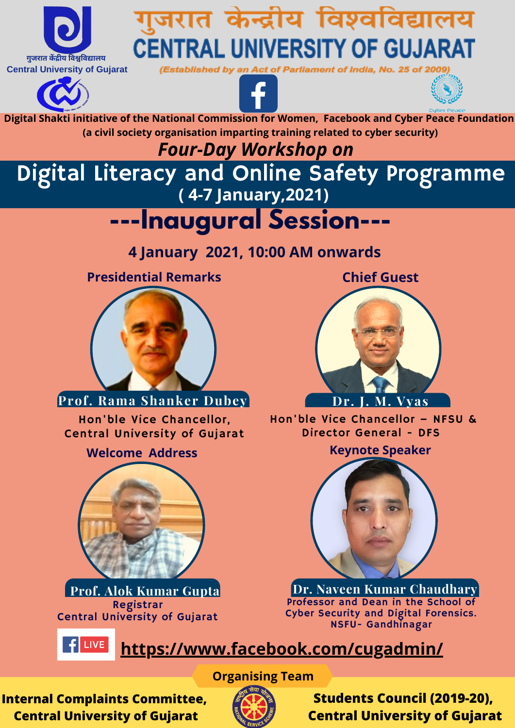**Digital Shakti initiative of the National Commission for Women, Facebook and Cyber Peace Foundation**





Registrar Central University of Gujarat **Prof. Alok Kumar Gupta**

**(a civil society organisation imparting training related to cyber security)**

Digital Literacy and Online Safety Programme **( 4-7 January,2021)**

Hon'ble Vice Chancellor, Central University of Gujarat



Hon'ble Vice Chancellor – NFSU & Director General - DFS

### *Four-Day Workshop on*

# **---Inaugural Session---**

**4 January 2021, 10:00 AM onwards**

**Presidential Remarks**

#### **Welcome Address Keynote Speaker**

### **<https://www.facebook.com/cugadmin/>**

#### **Organising Team**

**Chief Guest**



### **Prof. Rama Shanker Dubey Dr.** J. M. Vyas

**Students Council (2019-20), Central University of Gujarat**

**Internal Complaints Committee, Central University of Gujarat**





# गुजरात केन्द्रीय विश्वविद्यालय **CENTRAL UNIVERSITY OF GUJARAT**

(Established by an Act of Parliament of India, No. 25 of 2009





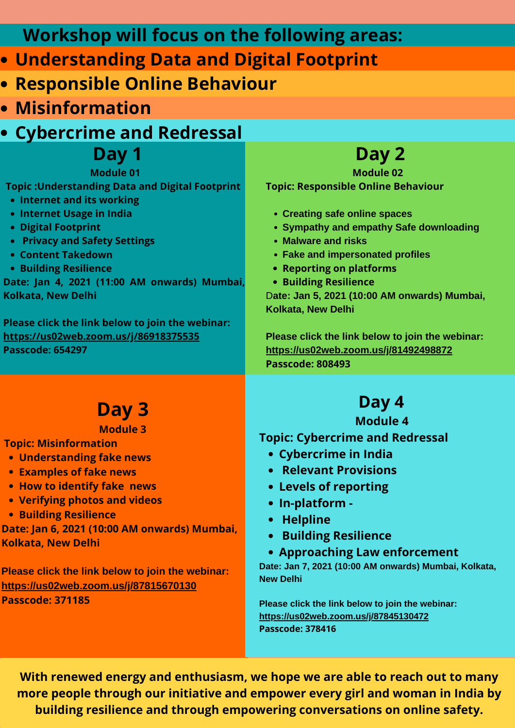- **Creating safe online spaces**
- **Sympathy and empathy Safe downloading**
- **Malware and risks**
- **Fake and impersonated profiles**
- **Reporting on platforms**
- **Building Resilience** D**ate: Jan 5, 2021 (10:00 AM onwards) Mumbai, Kolkata, New Delhi**

 **Day 2 Module 02 Topic: Responsible Online Behaviour**

**Please click the link below to join the webinar: <https://us02web.zoom.us/j/81492498872> Passcode: 808493**

## **Day 3**

- **Topic: Misinformation**
- **Understanding fake news**
- **Examples of fake news**
- **How to identify fake news**
- **Verifying photos and videos**
- **Building Resilience**

#### **Module 3**

**Date: Jan 6, 2021 (10:00 AM onwards) Mumbai, Kolkata, New Delhi**

**Please click the link below to join the webinar: <https://us02web.zoom.us/j/87815670130> Passcode: 371185**

- **Cybercrime in India**
- **Relevant Provisions**
- **Levels of reporting**
- **In-platform -**
- **Helpline**
- **Building Resilience**
- **Approaching Law enforcement Date: Jan 7, 2021 (10:00 AM onwards) Mumbai, Kolkata, New Delhi**

### **Day 4 Module 4**

### **Topic: Cybercrime and Redressal**

**Please click the link below to join the webinar: <https://us02web.zoom.us/j/87845130472> Passcode: 378416**

- **Understanding Data and Digital Footprint**
- **Responsible Online Behaviour**
- **Misinformation**
- **Cybercrime and Redressal**

## **Workshop will focus on the following areas:**

 **Day 1**

- **Topic :Understanding Data and Digital Footprint**
- **Internet and its working**
- **Internet Usage in India**
- **Digital Footprint**
- **Privacy and Safety Settings**
- **Content Takedown**
- **Building Resilience**

#### **Module 01**

**Date: Jan 4, 2021 (11:00 AM onwards) Mumbai, Kolkata, New Delhi**

**Please click the link below to join the webinar: <https://us02web.zoom.us/j/86918375535> Passcode: 654297**

**With renewed energy and enthusiasm, we hope we are able to reach out to many more people through our initiative and empower every girl and woman in India by building resilience and through empowering conversations on online safety.**